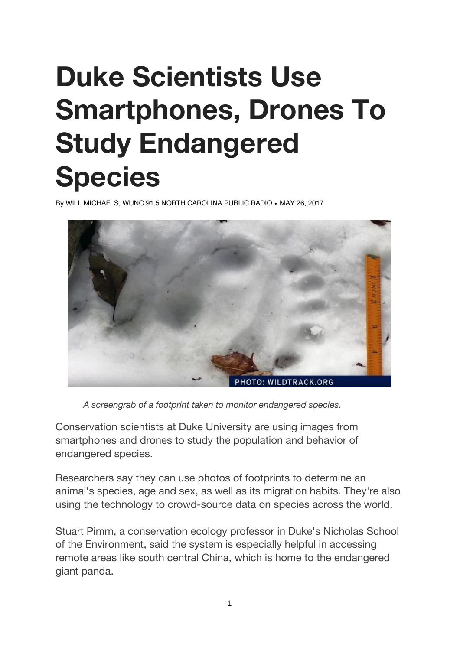## **Duke Scientists Use Smartphones, Drones To Study Endangered Species**

By WILL MICHAELS, WUNC 91.5 NORTH CAROLINA PUBLIC RADIO *•* MAY 26, 2017



*A screengrab of a footprint taken to monitor endangered species.*

Conservation scientists at Duke University are using images from smartphones and drones to study the population and behavior of endangered species.

Researchers say they can use photos of footprints to determine an animal's species, age and sex, as well as its migration habits. They're also using the technology to crowd-source data on species across the world.

Stuart Pimm, a conservation ecology professor in Duke's Nicholas School of the Environment, said the system is especially helpful in accessing remote areas like south central China, which is home to the endangered giant panda.